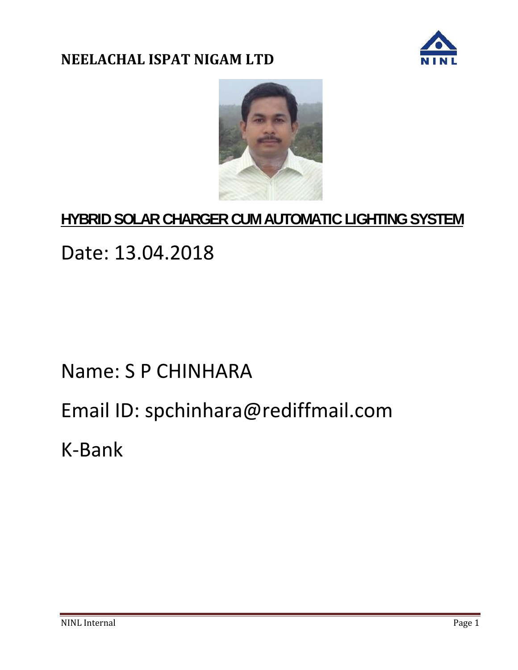



# **HYBRID SOLAR CHARGER CUM AUTOMATIC LIGHTING SYSTEM**

# Date: 13.04.2018

# Name: S P CHINHARA

# Email ID: spchinhara@rediffmail.com

K-Bank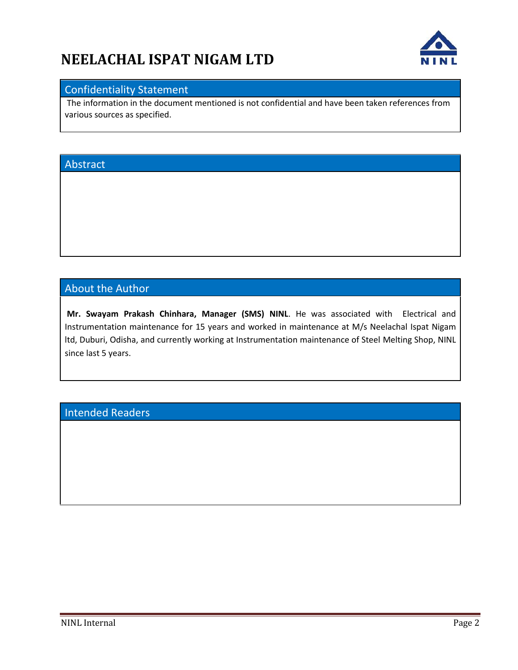

#### Confidentiality Statement

The information in the document mentioned is not confidential and have been taken references from various sources as specified.

#### Abstract

#### About the Author

**Mr. Swayam Prakash Chinhara, Manager (SMS) NINL**. He was associated with Electrical and Instrumentation maintenance for 15 years and worked in maintenance at M/s Neelachal Ispat Nigam ltd, Duburi, Odisha, and currently working at Instrumentation maintenance of Steel Melting Shop, NINL since last 5 years.

#### Intended Readers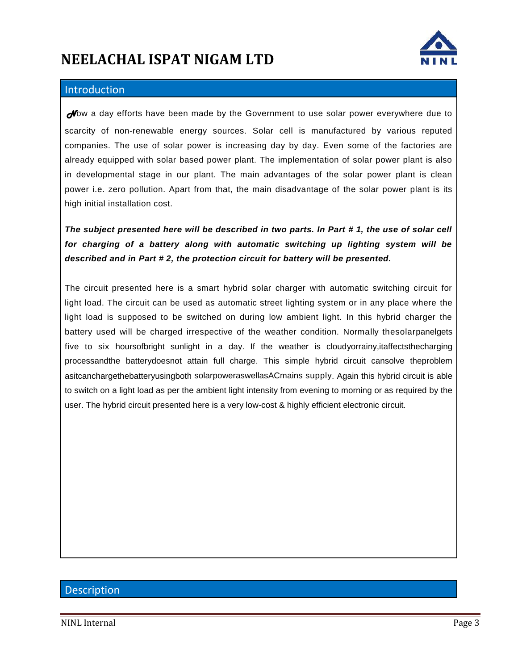

#### **Introduction**

**Now** a day efforts have been made by the Government to use solar power everywhere due to scarcity of non-renewable energy sources. Solar cell is manufactured by various reputed companies. The use of solar power is increasing day by day. Even some of the factories are already equipped with solar based power plant. The implementation of solar power plant is also in developmental stage in our plant. The main advantages of the solar power plant is clean power i.e. zero pollution. Apart from that, the main disadvantage of the solar power plant is its high initial installation cost.

*The subject presented here will be described in two parts. In Part # 1, the use of solar cell for charging of a battery along with automatic switching up lighting system will be described and in Part # 2, the protection circuit for battery will be presented.*

The circuit presented here is a smart hybrid solar charger with automatic switching circuit for light load. The circuit can be used as automatic street lighting system or in any place where the light load is supposed to be switched on during low ambient light. In this hybrid charger the battery used will be charged irrespective of the weather condition. Normally thesolarpanelgets five to six hoursofbright sunlight in a day. If the weather is cloudyorrainy,itaffectsthecharging processandthe batterydoesnot attain full charge. This simple hybrid circuit cansolve theproblem asitcanchargethebatteryusingboth solarpoweraswellasACmains supply. Again this hybrid circuit is able to switch on a light load as per the ambient light intensity from evening to morning or as required by the user. The hybrid circuit presented here is a very low-cost & highly efficient electronic circuit.

#### **Description**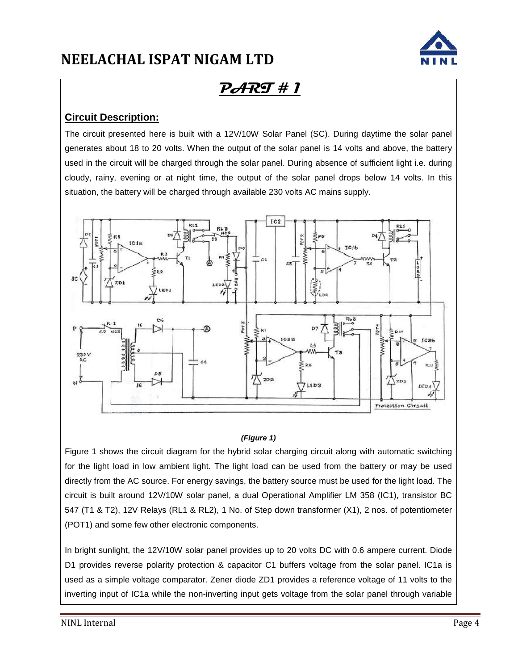

### **PART # 1**

#### **Circuit Description:**

The circuit presented here is built with a 12V/10W Solar Panel (SC). During daytime the solar panel generates about 18 to 20 volts. When the output of the solar panel is 14 volts and above, the battery used in the circuit will be charged through the solar panel. During absence of sufficient light i.e. during cloudy, rainy, evening or at night time, the output of the solar panel drops below 14 volts. In this situation, the battery will be charged through available 230 volts AC mains supply.



#### *(Figure 1)*

Figure 1 shows the circuit diagram for the hybrid solar charging circuit along with automatic switching for the light load in low ambient light. The light load can be used from the battery or may be used directly from the AC source. For energy savings, the battery source must be used for the light load. The circuit is built around 12V/10W solar panel, a dual Operational Amplifier LM 358 (IC1), transistor BC 547 (T1 & T2), 12V Relays (RL1 & RL2), 1 No. of Step down transformer (X1), 2 nos. of potentiometer (POT1) and some few other electronic components.

In bright sunlight, the 12V/10W solar panel provides up to 20 volts DC with 0.6 ampere current. Diode D1 provides reverse polarity protection & capacitor C1 buffers voltage from the solar panel. IC1a is used as a simple voltage comparator. Zener diode ZD1 provides a reference voltage of 11 volts to the inverting input of IC1a while the non-inverting input gets voltage from the solar panel through variable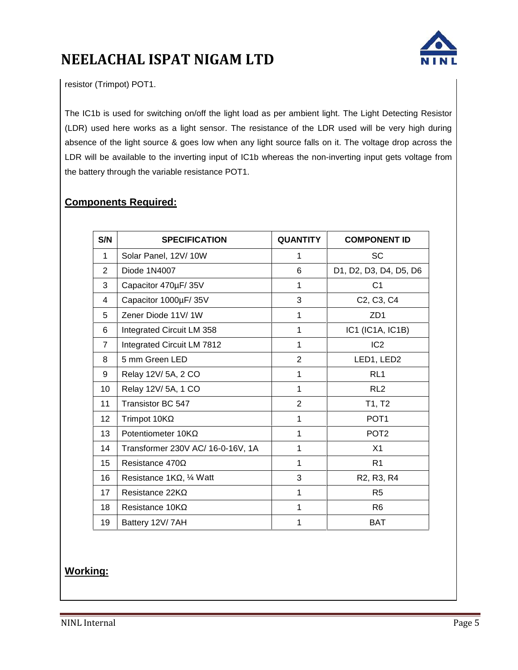

resistor (Trimpot) POT1.

The IC1b is used for switching on/off the light load as per ambient light. The Light Detecting Resistor (LDR) used here works as a light sensor. The resistance of the LDR used will be very high during absence of the light source & goes low when any light source falls on it. The voltage drop across the LDR will be available to the inverting input of IC1b whereas the non-inverting input gets voltage from the battery through the variable resistance POT1.

#### **Components Required:**

| S/N            | <b>SPECIFICATION</b>              | <b>QUANTITY</b> | <b>COMPONENT ID</b>                              |
|----------------|-----------------------------------|-----------------|--------------------------------------------------|
| 1              | Solar Panel, 12V/10W              | 1               | <b>SC</b>                                        |
| 2              | Diode 1N4007                      | 6               | D1, D2, D3, D4, D5, D6                           |
| 3              | Capacitor 470µF/35V               | 1               | C <sub>1</sub>                                   |
| 4              | Capacitor 1000µF/35V              | 3               | C <sub>2</sub> , C <sub>3</sub> , C <sub>4</sub> |
| 5              | Zener Diode 11V/1W                | 1               | ZD <sub>1</sub>                                  |
| 6              | Integrated Circuit LM 358         | $\mathbf{1}$    | IC1 (IC1A, IC1B)                                 |
| $\overline{7}$ | Integrated Circuit LM 7812        | 1               | IC <sub>2</sub>                                  |
| 8              | 5 mm Green LED                    | $\overline{2}$  | LED1, LED2                                       |
| 9              | Relay 12V/ 5A, 2 CO               | $\mathbf{1}$    | RL <sub>1</sub>                                  |
| 10             | Relay 12V/ 5A, 1 CO               | 1               | RL <sub>2</sub>                                  |
| 11             | Transistor BC 547                 | $\overline{2}$  | T1, T2                                           |
| 12             | Trimpot 10K                       | $\mathbf{1}$    | POT <sub>1</sub>                                 |
| 13             | Potentiometer 10K                 | 1               | POT <sub>2</sub>                                 |
| 14             | Transformer 230V AC/ 16-0-16V, 1A | 1               | X <sub>1</sub>                                   |
| 15             | Resistance 470                    | 1               | R <sub>1</sub>                                   |
| 16             | Resistance 1K, 1/4 Watt           | 3               | R <sub>2</sub> , R <sub>3</sub> , R <sub>4</sub> |
| 17             | Resistance 22K                    | 1               | R <sub>5</sub>                                   |
| 18             | Resistance 10K                    | $\mathbf{1}$    | R <sub>6</sub>                                   |
| 19             | Battery 12V/7AH                   | 1               | <b>BAT</b>                                       |

**Working:**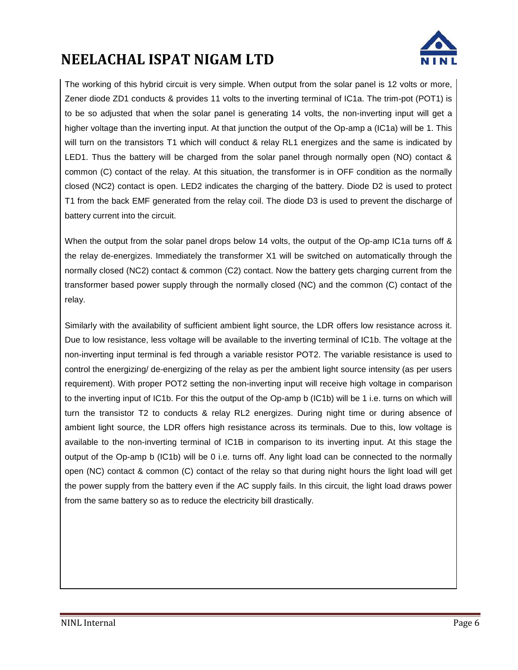

The working of this hybrid circuit is very simple. When output from the solar panel is 12 volts or more, Zener diode ZD1 conducts & provides 11 volts to the inverting terminal of IC1a. The trim-pot (POT1) is to be so adjusted that when the solar panel is generating 14 volts, the non-inverting input will get a higher voltage than the inverting input. At that junction the output of the Op-amp a (IC1a) will be 1. This will turn on the transistors T1 which will conduct & relay RL1 energizes and the same is indicated by LED1. Thus the battery will be charged from the solar panel through normally open (NO) contact & common (C) contact of the relay. At this situation, the transformer is in OFF condition as the normally closed (NC2) contact is open. LED2 indicates the charging of the battery. Diode D2 is used to protect T1 from the back EMF generated from the relay coil. The diode D3 is used to prevent the discharge of battery current into the circuit.

When the output from the solar panel drops below 14 volts, the output of the Op-amp IC1a turns off & the relay de-energizes. Immediately the transformer X1 will be switched on automatically through the normally closed (NC2) contact & common (C2) contact. Now the battery gets charging current from the transformer based power supply through the normally closed (NC) and the common (C) contact of the relay.

Similarly with the availability of sufficient ambient light source, the LDR offers low resistance across it. Due to low resistance, less voltage will be available to the inverting terminal of IC1b. The voltage at the non-inverting input terminal is fed through a variable resistor POT2. The variable resistance is used to control the energizing/ de-energizing of the relay as per the ambient light source intensity (as per users requirement). With proper POT2 setting the non-inverting input will receive high voltage in comparison to the inverting input of IC1b. For this the output of the Op-amp b (IC1b) will be 1 i.e. turns on which will turn the transistor T2 to conducts & relay RL2 energizes. During night time or during absence of ambient light source, the LDR offers high resistance across its terminals. Due to this, low voltage is available to the non-inverting terminal of IC1B in comparison to its inverting input. At this stage the output of the Op-amp b (IC1b) will be 0 i.e. turns off. Any light load can be connected to the normally open (NC) contact & common (C) contact of the relay so that during night hours the light load will get the power supply from the battery even if the AC supply fails. In this circuit, the light load draws power from the same battery so as to reduce the electricity bill drastically.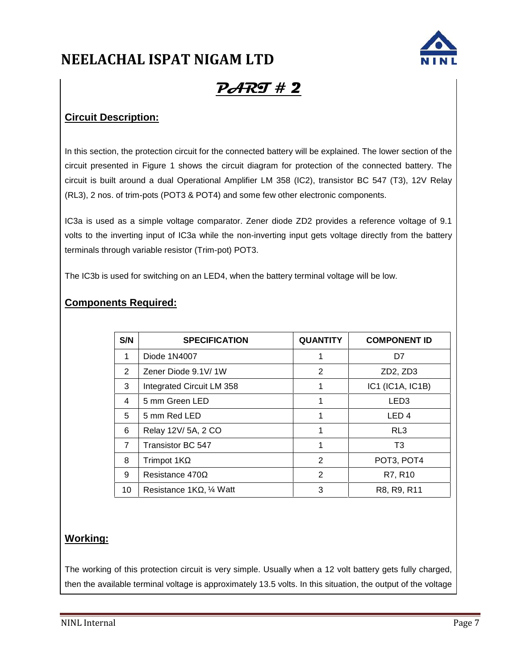

## **PART # 2**

#### **Circuit Description:**

In this section, the protection circuit for the connected battery will be explained. The lower section of the circuit presented in Figure 1 shows the circuit diagram for protection of the connected battery. The circuit is built around a dual Operational Amplifier LM 358 (IC2), transistor BC 547 (T3), 12V Relay (RL3), 2 nos. of trim-pots (POT3 & POT4) and some few other electronic components.

IC3a is used as a simple voltage comparator. Zener diode ZD2 provides a reference voltage of 9.1 volts to the inverting input of IC3a while the non-inverting input gets voltage directly from the battery terminals through variable resistor (Trim-pot) POT3.

The IC3b is used for switching on an LED4, when the battery terminal voltage will be low.

| S/N | <b>SPECIFICATION</b>      | <b>QUANTITY</b> | <b>COMPONENT ID</b>               |  |
|-----|---------------------------|-----------------|-----------------------------------|--|
| 1   | Diode 1N4007              |                 | D7                                |  |
| 2   | Zener Diode 9.1V/1W       | 2               | ZD <sub>2</sub> , ZD <sub>3</sub> |  |
| 3   | Integrated Circuit LM 358 |                 | IC1 (IC1A, IC1B)                  |  |
| 4   | 5 mm Green LED            | 1               | LED3                              |  |
| 5   | 5 mm Red LED              |                 | LED <sub>4</sub>                  |  |
| 6   | Relay 12V/ 5A, 2 CO       |                 | RL3                               |  |
| 7   | Transistor BC 547         | 1               | T <sub>3</sub>                    |  |
| 8   | Trimpot 1K                | 2               | POT3, POT4                        |  |
| 9   | Resistance 470            | $\mathbf{2}$    | R7, R10                           |  |
| 10  | Resistance 1K, 1/4 Watt   | 3               | R8, R9, R11                       |  |

#### **Components Required:**

#### **Working:**

The working of this protection circuit is very simple. Usually when a 12 volt battery gets fully charged, then the available terminal voltage is approximately 13.5 volts. In this situation, the output of the voltage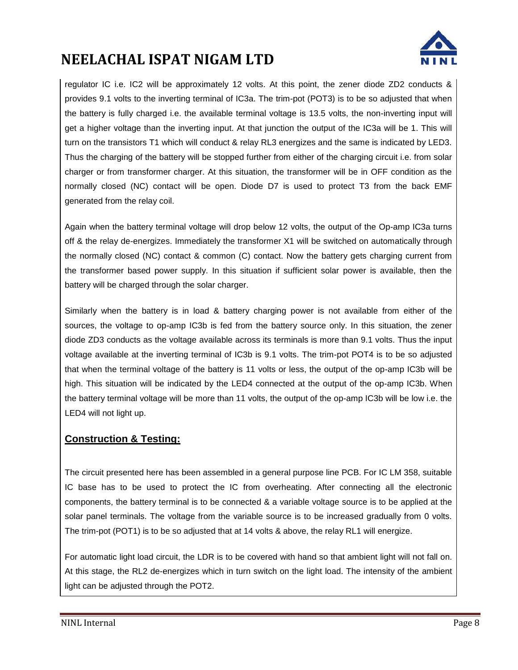

regulator IC i.e. IC2 will be approximately 12 volts. At this point, the zener diode ZD2 conducts & provides 9.1 volts to the inverting terminal of IC3a. The trim-pot (POT3) is to be so adjusted that when the battery is fully charged i.e. the available terminal voltage is 13.5 volts, the non-inverting input will get a higher voltage than the inverting input. At that junction the output of the IC3a will be 1. This will turn on the transistors T1 which will conduct & relay RL3 energizes and the same is indicated by LED3. Thus the charging of the battery will be stopped further from either of the charging circuit i.e. from solar charger or from transformer charger. At this situation, the transformer will be in OFF condition as the normally closed (NC) contact will be open. Diode D7 is used to protect T3 from the back EMF generated from the relay coil.

Again when the battery terminal voltage will drop below 12 volts, the output of the Op-amp IC3a turns off & the relay de-energizes. Immediately the transformer X1 will be switched on automatically through the normally closed (NC) contact & common (C) contact. Now the battery gets charging current from the transformer based power supply. In this situation if sufficient solar power is available, then the battery will be charged through the solar charger.

Similarly when the battery is in load & battery charging power is not available from either of the sources, the voltage to op-amp IC3b is fed from the battery source only. In this situation, the zener diode ZD3 conducts as the voltage available across its terminals is more than 9.1 volts. Thus the input voltage available at the inverting terminal of IC3b is 9.1 volts. The trim-pot POT4 is to be so adjusted that when the terminal voltage of the battery is 11 volts or less, the output of the op-amp IC3b will be high. This situation will be indicated by the LED4 connected at the output of the op-amp IC3b. When the battery terminal voltage will be more than 11 volts, the output of the op-amp IC3b will be low i.e. the LED4 will not light up.

#### **Construction & Testing:**

The circuit presented here has been assembled in a general purpose line PCB. For IC LM 358, suitable IC base has to be used to protect the IC from overheating. After connecting all the electronic components, the battery terminal is to be connected & a variable voltage source is to be applied at the solar panel terminals. The voltage from the variable source is to be increased gradually from 0 volts. The trim-pot (POT1) is to be so adjusted that at 14 volts & above, the relay RL1 will energize.

For automatic light load circuit, the LDR is to be covered with hand so that ambient light will not fall on. At this stage, the RL2 de-energizes which in turn switch on the light load. The intensity of the ambient light can be adjusted through the POT2.